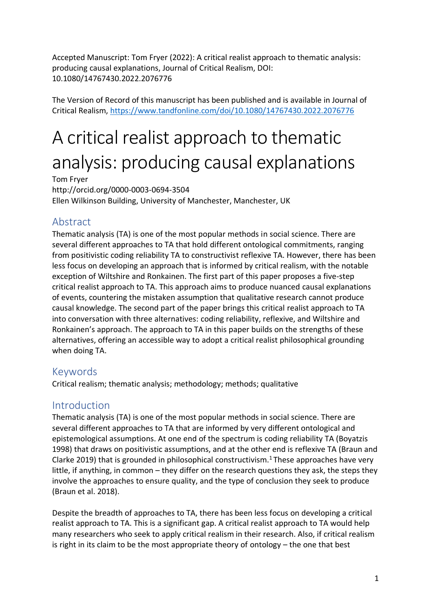Accepted Manuscript: Tom Fryer (2022): A critical realist approach to thematic analysis: producing causal explanations, Journal of Critical Realism, DOI: 10.1080/14767430.2022.2076776

The Version of Record of this manuscript has been published and is available in Journal of Critical Realism,<https://www.tandfonline.com/doi/10.1080/14767430.2022.2076776>

# A critical realist approach to thematic analysis: producing causal explanations

Tom Fryer http://orcid.org/0000-0003-0694-3504 Ellen Wilkinson Building, University of Manchester, Manchester, UK

# Abstract

Thematic analysis (TA) is one of the most popular methods in social science. There are several different approaches to TA that hold different ontological commitments, ranging from positivistic coding reliability TA to constructivist reflexive TA. However, there has been less focus on developing an approach that is informed by critical realism, with the notable exception of Wiltshire and Ronkainen. The first part of this paper proposes a five-step critical realist approach to TA. This approach aims to produce nuanced causal explanations of events, countering the mistaken assumption that qualitative research cannot produce causal knowledge. The second part of the paper brings this critical realist approach to TA into conversation with three alternatives: coding reliability, reflexive, and Wiltshire and Ronkainen's approach. The approach to TA in this paper builds on the strengths of these alternatives, offering an accessible way to adopt a critical realist philosophical grounding when doing TA.

# Keywords

Critical realism; thematic analysis; methodology; methods; qualitative

# Introduction

Thematic analysis (TA) is one of the most popular methods in social science. There are several different approaches to TA that are informed by very different ontological and epistemological assumptions. At one end of the spectrum is coding reliability TA (Boyatzis 1998) that draws on positivistic assumptions, and at the other end is reflexive TA (Braun and Clarke 2019) that is grounded in philosophical constructivism.<sup>1</sup> These approaches have very little, if anything, in common – they differ on the research questions they ask, the steps they involve the approaches to ensure quality, and the type of conclusion they seek to produce (Braun et al. 2018).

Despite the breadth of approaches to TA, there has been less focus on developing a critical realist approach to TA. This is a significant gap. A critical realist approach to TA would help many researchers who seek to apply critical realism in their research. Also, if critical realism is right in its claim to be the most appropriate theory of ontology – the one that best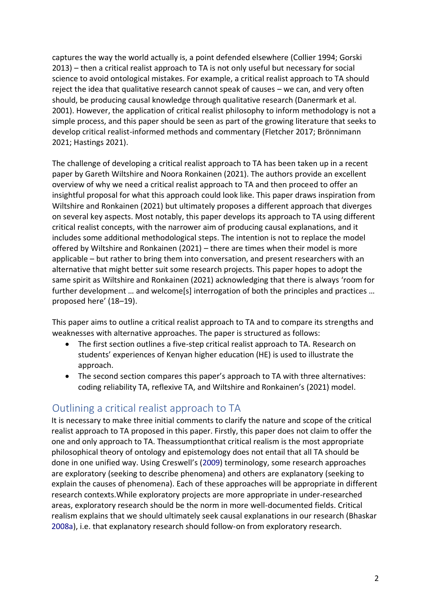captures the way the world actually is, a point defended elsewhere (Collier 1994; Gorski 2013) – then a critical realist approach to TA is not only useful but necessary for social science to avoid ontological mistakes. For example, a critical realist approach to TA should reject the idea that qualitative research cannot speak of causes – we can, and very often should, be producing causal knowledge through qualitative research (Danermark et al. 2001). However, the application of critical realist philosophy to inform methodology is not a simple process, and this paper should be seen as part of the growing literature that seeks to develop critical realist-informed methods and commentary (Fletcher 2017; Brönnimann 2021; Hastings 2021).

The challenge of developing a critical realist approach to TA has been taken up in a recent paper by Gareth Wiltshire and Noora Ronkainen (2021). The authors provide an excellent overview of why we need a critical realist approach to TA and then proceed to offer an insightful proposal for what this approach could look like. This paper draws inspiration from Wiltshire and Ronkainen (2021) but ultimately proposes a different approach that diverges on several key aspects. Most notably, this paper develops its approach to TA using different critical realist concepts, with the narrower aim of producing causal explanations, and it includes some additional methodological steps. The intention is not to replace the model offered by Wiltshire and Ronkainen (2021) – there are times when their model is more applicable – but rather to bring them into conversation, and present researchers with an alternative that might better suit some research projects. This paper hopes to adopt the same spirit as Wiltshire and Ronkainen (2021) acknowledging that there is always 'room for further development ... and welcome[s] interrogation of both the principles and practices ... proposed here' (18–19).

This paper aims to outline a critical realist approach to TA and to compare its strengths and weaknesses with alternative approaches. The paper is structured as follows:

- The first section outlines a five-step critical realist approach to TA. Research on students' experiences of Kenyan higher education (HE) is used to illustrate the approach.
- The second section compares this paper's approach to TA with three alternatives: coding reliability TA, reflexive TA, and Wiltshire and Ronkainen's (2021) model.

# Outlining a critical realist approach to TA

It is necessary to make three initial comments to clarify the nature and scope of the critical realist approach to TA proposed in this paper. Firstly, this paper does not claim to offer the one and only approach to TA. Theassumptionthat critical realism is the most appropriate philosophical theory of ontology and epistemology does not entail that all TA should be done in one unified way. Using Creswell's (2009) terminology, some research approaches are exploratory (seeking to describe phenomena) and others are explanatory (seeking to explain the causes of phenomena). Each of these approaches will be appropriate in different research contexts.While exploratory projects are more appropriate in under-researched areas, exploratory research should be the norm in more well-documented fields. Critical realism explains that we should ultimately seek causal explanations in our research (Bhaskar 2008a), i.e. that explanatory research should follow-on from exploratory research.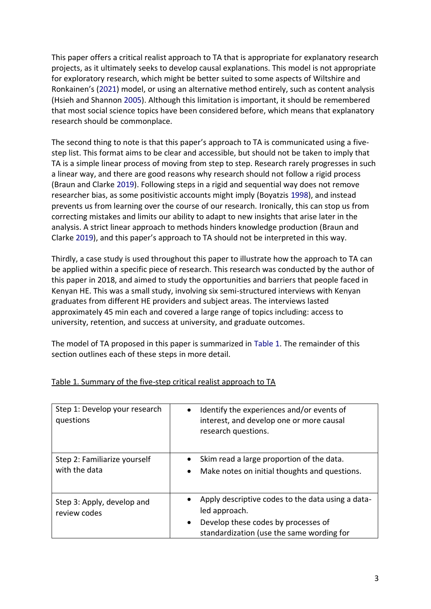This paper offers a critical realist approach to TA that is appropriate for explanatory research projects, as it ultimately seeks to develop causal explanations. This model is not appropriate for exploratory research, which might be better suited to some aspects of Wiltshire and Ronkainen's (2021) model, or using an alternative method entirely, such as content analysis (Hsieh and Shannon 2005). Although this limitation is important, it should be remembered that most social science topics have been considered before, which means that explanatory research should be commonplace.

The second thing to note is that this paper's approach to TA is communicated using a fivestep list. This format aims to be clear and accessible, but should not be taken to imply that TA is a simple linear process of moving from step to step. Research rarely progresses in such a linear way, and there are good reasons why research should not follow a rigid process (Braun and Clarke 2019). Following steps in a rigid and sequential way does not remove researcher bias, as some positivistic accounts might imply (Boyatzis 1998), and instead prevents us from learning over the course of our research. Ironically, this can stop us from correcting mistakes and limits our ability to adapt to new insights that arise later in the analysis. A strict linear approach to methods hinders knowledge production (Braun and Clarke 2019), and this paper's approach to TA should not be interpreted in this way.

Thirdly, a case study is used throughout this paper to illustrate how the approach to TA can be applied within a specific piece of research. This research was conducted by the author of this paper in 2018, and aimed to study the opportunities and barriers that people faced in Kenyan HE. This was a small study, involving six semi-structured interviews with Kenyan graduates from different HE providers and subject areas. The interviews lasted approximately 45 min each and covered a large range of topics including: access to university, retention, and success at university, and graduate outcomes.

The model of TA proposed in this paper is summarized in Table 1. The remainder of this section outlines each of these steps in more detail.

| Step 1: Develop your research<br>questions    | Identify the experiences and/or events of<br>$\bullet$<br>interest, and develop one or more causal<br>research questions.                                           |
|-----------------------------------------------|---------------------------------------------------------------------------------------------------------------------------------------------------------------------|
| Step 2: Familiarize yourself<br>with the data | Skim read a large proportion of the data.<br>$\bullet$<br>Make notes on initial thoughts and questions.<br>$\bullet$                                                |
| Step 3: Apply, develop and<br>review codes    | Apply descriptive codes to the data using a data-<br>led approach.<br>Develop these codes by processes of<br>$\bullet$<br>standardization (use the same wording for |

#### Table 1. Summary of the five-step critical realist approach to TA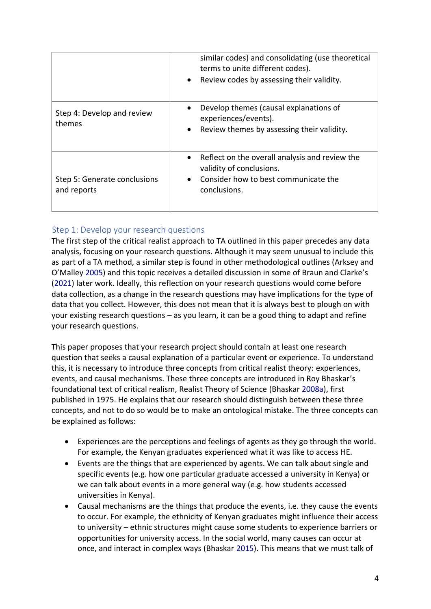|                                             | similar codes) and consolidating (use theoretical<br>terms to unite different codes).<br>Review codes by assessing their validity.<br>$\bullet$              |
|---------------------------------------------|--------------------------------------------------------------------------------------------------------------------------------------------------------------|
| Step 4: Develop and review<br>themes        | Develop themes (causal explanations of<br>experiences/events).<br>Review themes by assessing their validity.<br>$\bullet$                                    |
| Step 5: Generate conclusions<br>and reports | Reflect on the overall analysis and review the<br>$\bullet$<br>validity of conclusions.<br>Consider how to best communicate the<br>$\bullet$<br>conclusions. |

## Step 1: Develop your research questions

The first step of the critical realist approach to TA outlined in this paper precedes any data analysis, focusing on your research questions. Although it may seem unusual to include this as part of a TA method, a similar step is found in other methodological outlines (Arksey and O'Malley 2005) and this topic receives a detailed discussion in some of Braun and Clarke's (2021) later work. Ideally, this reflection on your research questions would come before data collection, as a change in the research questions may have implications for the type of data that you collect. However, this does not mean that it is always best to plough on with your existing research questions – as you learn, it can be a good thing to adapt and refine your research questions.

This paper proposes that your research project should contain at least one research question that seeks a causal explanation of a particular event or experience. To understand this, it is necessary to introduce three concepts from critical realist theory: experiences, events, and causal mechanisms. These three concepts are introduced in Roy Bhaskar's foundational text of critical realism, Realist Theory of Science (Bhaskar 2008a), first published in 1975. He explains that our research should distinguish between these three concepts, and not to do so would be to make an ontological mistake. The three concepts can be explained as follows:

- Experiences are the perceptions and feelings of agents as they go through the world. For example, the Kenyan graduates experienced what it was like to access HE.
- Events are the things that are experienced by agents. We can talk about single and specific events (e.g. how one particular graduate accessed a university in Kenya) or we can talk about events in a more general way (e.g. how students accessed universities in Kenya).
- Causal mechanisms are the things that produce the events, i.e. they cause the events to occur. For example, the ethnicity of Kenyan graduates might influence their access to university – ethnic structures might cause some students to experience barriers or opportunities for university access. In the social world, many causes can occur at once, and interact in complex ways (Bhaskar 2015). This means that we must talk of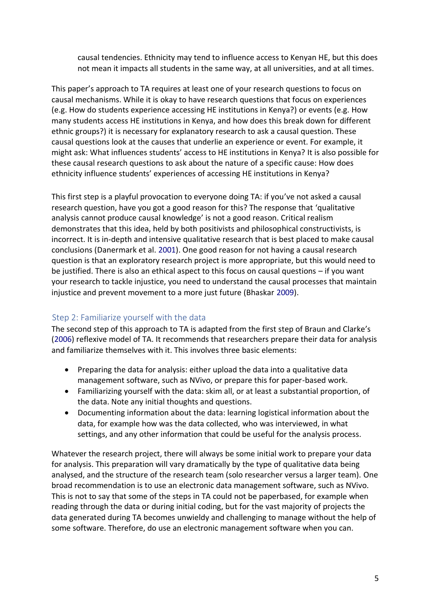causal tendencies. Ethnicity may tend to influence access to Kenyan HE, but this does not mean it impacts all students in the same way, at all universities, and at all times.

This paper's approach to TA requires at least one of your research questions to focus on causal mechanisms. While it is okay to have research questions that focus on experiences (e.g. How do students experience accessing HE institutions in Kenya?) or events (e.g. How many students access HE institutions in Kenya, and how does this break down for different ethnic groups?) it is necessary for explanatory research to ask a causal question. These causal questions look at the causes that underlie an experience or event. For example, it might ask: What influences students' access to HE institutions in Kenya? It is also possible for these causal research questions to ask about the nature of a specific cause: How does ethnicity influence students' experiences of accessing HE institutions in Kenya?

This first step is a playful provocation to everyone doing TA: if you've not asked a causal research question, have you got a good reason for this? The response that 'qualitative analysis cannot produce causal knowledge' is not a good reason. Critical realism demonstrates that this idea, held by both positivists and philosophical constructivists, is incorrect. It is in-depth and intensive qualitative research that is best placed to make causal conclusions (Danermark et al. 2001). One good reason for not having a causal research question is that an exploratory research project is more appropriate, but this would need to be justified. There is also an ethical aspect to this focus on causal questions – if you want your research to tackle injustice, you need to understand the causal processes that maintain injustice and prevent movement to a more just future (Bhaskar 2009).

## Step 2: Familiarize yourself with the data

The second step of this approach to TA is adapted from the first step of Braun and Clarke's (2006) reflexive model of TA. It recommends that researchers prepare their data for analysis and familiarize themselves with it. This involves three basic elements:

- Preparing the data for analysis: either upload the data into a qualitative data management software, such as NVivo, or prepare this for paper-based work.
- Familiarizing yourself with the data: skim all, or at least a substantial proportion, of the data. Note any initial thoughts and questions.
- Documenting information about the data: learning logistical information about the data, for example how was the data collected, who was interviewed, in what settings, and any other information that could be useful for the analysis process.

Whatever the research project, there will always be some initial work to prepare your data for analysis. This preparation will vary dramatically by the type of qualitative data being analysed, and the structure of the research team (solo researcher versus a larger team). One broad recommendation is to use an electronic data management software, such as NVivo. This is not to say that some of the steps in TA could not be paperbased, for example when reading through the data or during initial coding, but for the vast majority of projects the data generated during TA becomes unwieldy and challenging to manage without the help of some software. Therefore, do use an electronic management software when you can.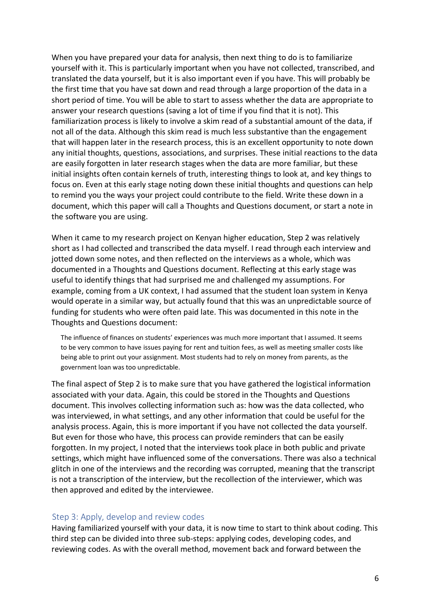When you have prepared your data for analysis, then next thing to do is to familiarize yourself with it. This is particularly important when you have not collected, transcribed, and translated the data yourself, but it is also important even if you have. This will probably be the first time that you have sat down and read through a large proportion of the data in a short period of time. You will be able to start to assess whether the data are appropriate to answer your research questions (saving a lot of time if you find that it is not). This familiarization process is likely to involve a skim read of a substantial amount of the data, if not all of the data. Although this skim read is much less substantive than the engagement that will happen later in the research process, this is an excellent opportunity to note down any initial thoughts, questions, associations, and surprises. These initial reactions to the data are easily forgotten in later research stages when the data are more familiar, but these initial insights often contain kernels of truth, interesting things to look at, and key things to focus on. Even at this early stage noting down these initial thoughts and questions can help to remind you the ways your project could contribute to the field. Write these down in a document, which this paper will call a Thoughts and Questions document, or start a note in the software you are using.

When it came to my research project on Kenyan higher education, Step 2 was relatively short as I had collected and transcribed the data myself. I read through each interview and jotted down some notes, and then reflected on the interviews as a whole, which was documented in a Thoughts and Questions document. Reflecting at this early stage was useful to identify things that had surprised me and challenged my assumptions. For example, coming from a UK context, I had assumed that the student loan system in Kenya would operate in a similar way, but actually found that this was an unpredictable source of funding for students who were often paid late. This was documented in this note in the Thoughts and Questions document:

The influence of finances on students' experiences was much more important that I assumed. It seems to be very common to have issues paying for rent and tuition fees, as well as meeting smaller costs like being able to print out your assignment. Most students had to rely on money from parents, as the government loan was too unpredictable.

The final aspect of Step 2 is to make sure that you have gathered the logistical information associated with your data. Again, this could be stored in the Thoughts and Questions document. This involves collecting information such as: how was the data collected, who was interviewed, in what settings, and any other information that could be useful for the analysis process. Again, this is more important if you have not collected the data yourself. But even for those who have, this process can provide reminders that can be easily forgotten. In my project, I noted that the interviews took place in both public and private settings, which might have influenced some of the conversations. There was also a technical glitch in one of the interviews and the recording was corrupted, meaning that the transcript is not a transcription of the interview, but the recollection of the interviewer, which was then approved and edited by the interviewee.

#### Step 3: Apply, develop and review codes

Having familiarized yourself with your data, it is now time to start to think about coding. This third step can be divided into three sub-steps: applying codes, developing codes, and reviewing codes. As with the overall method, movement back and forward between the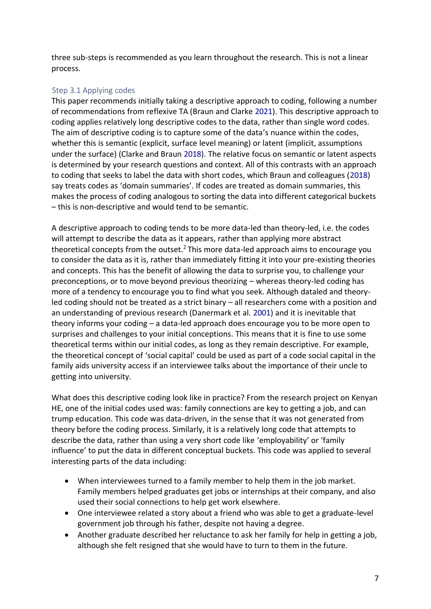three sub-steps is recommended as you learn throughout the research. This is not a linear process.

## Step 3.1 Applying codes

This paper recommends initially taking a descriptive approach to coding, following a number of recommendations from reflexive TA (Braun and Clarke 2021). This descriptive approach to coding applies relatively long descriptive codes to the data, rather than single word codes. The aim of descriptive coding is to capture some of the data's nuance within the codes, whether this is semantic (explicit, surface level meaning) or latent (implicit, assumptions under the surface) (Clarke and Braun 2018). The relative focus on semantic or latent aspects is determined by your research questions and context. All of this contrasts with an approach to coding that seeks to label the data with short codes, which Braun and colleagues (2018) say treats codes as 'domain summaries'. If codes are treated as domain summaries, this makes the process of coding analogous to sorting the data into different categorical buckets – this is non-descriptive and would tend to be semantic.

A descriptive approach to coding tends to be more data-led than theory-led, i.e. the codes will attempt to describe the data as it appears, rather than applying more abstract theoretical concepts from the outset.<sup>2</sup> This more data-led approach aims to encourage you to consider the data as it is, rather than immediately fitting it into your pre-existing theories and concepts. This has the benefit of allowing the data to surprise you, to challenge your preconceptions, or to move beyond previous theorizing – whereas theory-led coding has more of a tendency to encourage you to find what you seek. Although dataled and theoryled coding should not be treated as a strict binary – all researchers come with a position and an understanding of previous research (Danermark et al. 2001) and it is inevitable that theory informs your coding – a data-led approach does encourage you to be more open to surprises and challenges to your initial conceptions. This means that it is fine to use some theoretical terms within our initial codes, as long as they remain descriptive. For example, the theoretical concept of 'social capital' could be used as part of a code social capital in the family aids university access if an interviewee talks about the importance of their uncle to getting into university.

What does this descriptive coding look like in practice? From the research project on Kenyan HE, one of the initial codes used was: family connections are key to getting a job, and can trump education. This code was data-driven, in the sense that it was not generated from theory before the coding process. Similarly, it is a relatively long code that attempts to describe the data, rather than using a very short code like 'employability' or 'family influence' to put the data in different conceptual buckets. This code was applied to several interesting parts of the data including:

- When interviewees turned to a family member to help them in the job market. Family members helped graduates get jobs or internships at their company, and also used their social connections to help get work elsewhere.
- One interviewee related a story about a friend who was able to get a graduate-level government job through his father, despite not having a degree.
- Another graduate described her reluctance to ask her family for help in getting a job, although she felt resigned that she would have to turn to them in the future.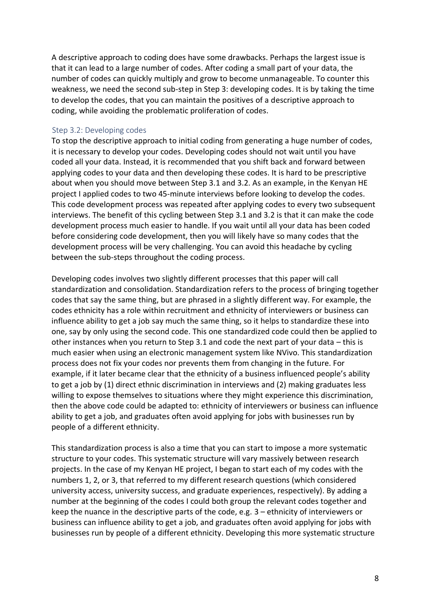A descriptive approach to coding does have some drawbacks. Perhaps the largest issue is that it can lead to a large number of codes. After coding a small part of your data, the number of codes can quickly multiply and grow to become unmanageable. To counter this weakness, we need the second sub-step in Step 3: developing codes. It is by taking the time to develop the codes, that you can maintain the positives of a descriptive approach to coding, while avoiding the problematic proliferation of codes.

#### Step 3.2: Developing codes

To stop the descriptive approach to initial coding from generating a huge number of codes, it is necessary to develop your codes. Developing codes should not wait until you have coded all your data. Instead, it is recommended that you shift back and forward between applying codes to your data and then developing these codes. It is hard to be prescriptive about when you should move between Step 3.1 and 3.2. As an example, in the Kenyan HE project I applied codes to two 45-minute interviews before looking to develop the codes. This code development process was repeated after applying codes to every two subsequent interviews. The benefit of this cycling between Step 3.1 and 3.2 is that it can make the code development process much easier to handle. If you wait until all your data has been coded before considering code development, then you will likely have so many codes that the development process will be very challenging. You can avoid this headache by cycling between the sub-steps throughout the coding process.

Developing codes involves two slightly different processes that this paper will call standardization and consolidation. Standardization refers to the process of bringing together codes that say the same thing, but are phrased in a slightly different way. For example, the codes ethnicity has a role within recruitment and ethnicity of interviewers or business can influence ability to get a job say much the same thing, so it helps to standardize these into one, say by only using the second code. This one standardized code could then be applied to other instances when you return to Step 3.1 and code the next part of your data – this is much easier when using an electronic management system like NVivo. This standardization process does not fix your codes nor prevents them from changing in the future. For example, if it later became clear that the ethnicity of a business influenced people's ability to get a job by (1) direct ethnic discrimination in interviews and (2) making graduates less willing to expose themselves to situations where they might experience this discrimination, then the above code could be adapted to: ethnicity of interviewers or business can influence ability to get a job, and graduates often avoid applying for jobs with businesses run by people of a different ethnicity.

This standardization process is also a time that you can start to impose a more systematic structure to your codes. This systematic structure will vary massively between research projects. In the case of my Kenyan HE project, I began to start each of my codes with the numbers 1, 2, or 3, that referred to my different research questions (which considered university access, university success, and graduate experiences, respectively). By adding a number at the beginning of the codes I could both group the relevant codes together and keep the nuance in the descriptive parts of the code, e.g. 3 – ethnicity of interviewers or business can influence ability to get a job, and graduates often avoid applying for jobs with businesses run by people of a different ethnicity. Developing this more systematic structure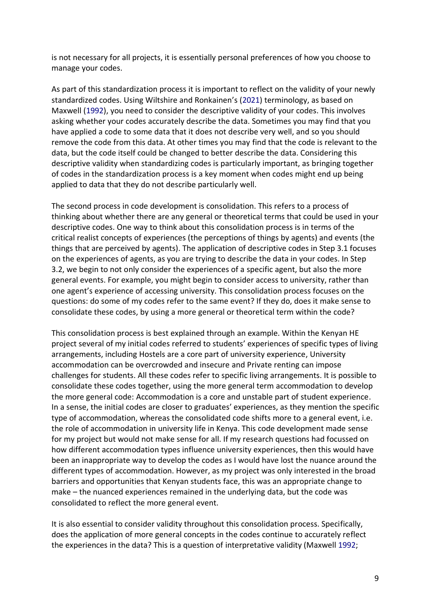is not necessary for all projects, it is essentially personal preferences of how you choose to manage your codes.

As part of this standardization process it is important to reflect on the validity of your newly standardized codes. Using Wiltshire and Ronkainen's (2021) terminology, as based on Maxwell (1992), you need to consider the descriptive validity of your codes. This involves asking whether your codes accurately describe the data. Sometimes you may find that you have applied a code to some data that it does not describe very well, and so you should remove the code from this data. At other times you may find that the code is relevant to the data, but the code itself could be changed to better describe the data. Considering this descriptive validity when standardizing codes is particularly important, as bringing together of codes in the standardization process is a key moment when codes might end up being applied to data that they do not describe particularly well.

The second process in code development is consolidation. This refers to a process of thinking about whether there are any general or theoretical terms that could be used in your descriptive codes. One way to think about this consolidation process is in terms of the critical realist concepts of experiences (the perceptions of things by agents) and events (the things that are perceived by agents). The application of descriptive codes in Step 3.1 focuses on the experiences of agents, as you are trying to describe the data in your codes. In Step 3.2, we begin to not only consider the experiences of a specific agent, but also the more general events. For example, you might begin to consider access to university, rather than one agent's experience of accessing university. This consolidation process focuses on the questions: do some of my codes refer to the same event? If they do, does it make sense to consolidate these codes, by using a more general or theoretical term within the code?

This consolidation process is best explained through an example. Within the Kenyan HE project several of my initial codes referred to students' experiences of specific types of living arrangements, including Hostels are a core part of university experience, University accommodation can be overcrowded and insecure and Private renting can impose challenges for students. All these codes refer to specific living arrangements. It is possible to consolidate these codes together, using the more general term accommodation to develop the more general code: Accommodation is a core and unstable part of student experience. In a sense, the initial codes are closer to graduates' experiences, as they mention the specific type of accommodation, whereas the consolidated code shifts more to a general event, i.e. the role of accommodation in university life in Kenya. This code development made sense for my project but would not make sense for all. If my research questions had focussed on how different accommodation types influence university experiences, then this would have been an inappropriate way to develop the codes as I would have lost the nuance around the different types of accommodation. However, as my project was only interested in the broad barriers and opportunities that Kenyan students face, this was an appropriate change to make – the nuanced experiences remained in the underlying data, but the code was consolidated to reflect the more general event.

It is also essential to consider validity throughout this consolidation process. Specifically, does the application of more general concepts in the codes continue to accurately reflect the experiences in the data? This is a question of interpretative validity (Maxwell 1992;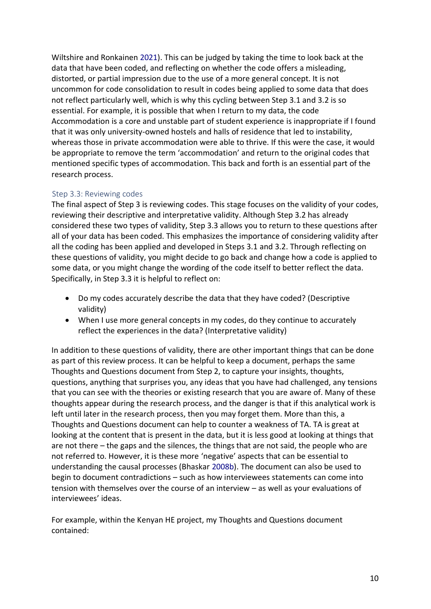Wiltshire and Ronkainen 2021). This can be judged by taking the time to look back at the data that have been coded, and reflecting on whether the code offers a misleading, distorted, or partial impression due to the use of a more general concept. It is not uncommon for code consolidation to result in codes being applied to some data that does not reflect particularly well, which is why this cycling between Step 3.1 and 3.2 is so essential. For example, it is possible that when I return to my data, the code Accommodation is a core and unstable part of student experience is inappropriate if I found that it was only university-owned hostels and halls of residence that led to instability, whereas those in private accommodation were able to thrive. If this were the case, it would be appropriate to remove the term 'accommodation' and return to the original codes that mentioned specific types of accommodation. This back and forth is an essential part of the research process.

#### Step 3.3: Reviewing codes

The final aspect of Step 3 is reviewing codes. This stage focuses on the validity of your codes, reviewing their descriptive and interpretative validity. Although Step 3.2 has already considered these two types of validity, Step 3.3 allows you to return to these questions after all of your data has been coded. This emphasizes the importance of considering validity after all the coding has been applied and developed in Steps 3.1 and 3.2. Through reflecting on these questions of validity, you might decide to go back and change how a code is applied to some data, or you might change the wording of the code itself to better reflect the data. Specifically, in Step 3.3 it is helpful to reflect on:

- Do my codes accurately describe the data that they have coded? (Descriptive validity)
- When I use more general concepts in my codes, do they continue to accurately reflect the experiences in the data? (Interpretative validity)

In addition to these questions of validity, there are other important things that can be done as part of this review process. It can be helpful to keep a document, perhaps the same Thoughts and Questions document from Step 2, to capture your insights, thoughts, questions, anything that surprises you, any ideas that you have had challenged, any tensions that you can see with the theories or existing research that you are aware of. Many of these thoughts appear during the research process, and the danger is that if this analytical work is left until later in the research process, then you may forget them. More than this, a Thoughts and Questions document can help to counter a weakness of TA. TA is great at looking at the content that is present in the data, but it is less good at looking at things that are not there – the gaps and the silences, the things that are not said, the people who are not referred to. However, it is these more 'negative' aspects that can be essential to understanding the causal processes (Bhaskar 2008b). The document can also be used to begin to document contradictions – such as how interviewees statements can come into tension with themselves over the course of an interview – as well as your evaluations of interviewees' ideas.

For example, within the Kenyan HE project, my Thoughts and Questions document contained: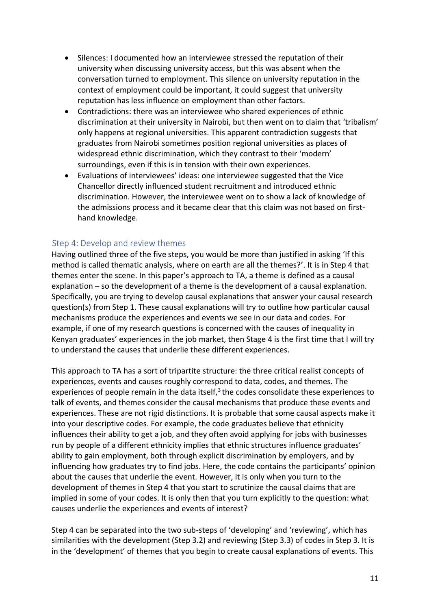- Silences: I documented how an interviewee stressed the reputation of their university when discussing university access, but this was absent when the conversation turned to employment. This silence on university reputation in the context of employment could be important, it could suggest that university reputation has less influence on employment than other factors.
- Contradictions: there was an interviewee who shared experiences of ethnic discrimination at their university in Nairobi, but then went on to claim that 'tribalism' only happens at regional universities. This apparent contradiction suggests that graduates from Nairobi sometimes position regional universities as places of widespread ethnic discrimination, which they contrast to their 'modern' surroundings, even if this is in tension with their own experiences.
- Evaluations of interviewees' ideas: one interviewee suggested that the Vice Chancellor directly influenced student recruitment and introduced ethnic discrimination. However, the interviewee went on to show a lack of knowledge of the admissions process and it became clear that this claim was not based on firsthand knowledge.

#### Step 4: Develop and review themes

Having outlined three of the five steps, you would be more than justified in asking 'If this method is called thematic analysis, where on earth are all the themes?'. It is in Step 4 that themes enter the scene. In this paper's approach to TA, a theme is defined as a causal explanation – so the development of a theme is the development of a causal explanation. Specifically, you are trying to develop causal explanations that answer your causal research question(s) from Step 1. These causal explanations will try to outline how particular causal mechanisms produce the experiences and events we see in our data and codes. For example, if one of my research questions is concerned with the causes of inequality in Kenyan graduates' experiences in the job market, then Stage 4 is the first time that I will try to understand the causes that underlie these different experiences.

This approach to TA has a sort of tripartite structure: the three critical realist concepts of experiences, events and causes roughly correspond to data, codes, and themes. The experiences of people remain in the data itself, $3$  the codes consolidate these experiences to talk of events, and themes consider the causal mechanisms that produce these events and experiences. These are not rigid distinctions. It is probable that some causal aspects make it into your descriptive codes. For example, the code graduates believe that ethnicity influences their ability to get a job, and they often avoid applying for jobs with businesses run by people of a different ethnicity implies that ethnic structures influence graduates' ability to gain employment, both through explicit discrimination by employers, and by influencing how graduates try to find jobs. Here, the code contains the participants' opinion about the causes that underlie the event. However, it is only when you turn to the development of themes in Step 4 that you start to scrutinize the causal claims that are implied in some of your codes. It is only then that you turn explicitly to the question: what causes underlie the experiences and events of interest?

Step 4 can be separated into the two sub-steps of 'developing' and 'reviewing', which has similarities with the development (Step 3.2) and reviewing (Step 3.3) of codes in Step 3. It is in the 'development' of themes that you begin to create causal explanations of events. This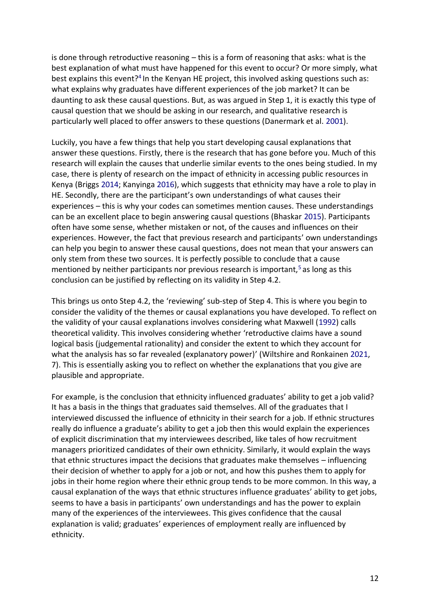is done through retroductive reasoning – this is a form of reasoning that asks: what is the best explanation of what must have happened for this event to occur? Or more simply, what best explains this event?<sup>4</sup> In the Kenyan HE project, this involved asking questions such as: what explains why graduates have different experiences of the job market? It can be daunting to ask these causal questions. But, as was argued in Step 1, it is exactly this type of causal question that we should be asking in our research, and qualitative research is particularly well placed to offer answers to these questions (Danermark et al. 2001).

Luckily, you have a few things that help you start developing causal explanations that answer these questions. Firstly, there is the research that has gone before you. Much of this research will explain the causes that underlie similar events to the ones being studied. In my case, there is plenty of research on the impact of ethnicity in accessing public resources in Kenya (Briggs 2014; Kanyinga 2016), which suggests that ethnicity may have a role to play in HE. Secondly, there are the participant's own understandings of what causes their experiences – this is why your codes can sometimes mention causes. These understandings can be an excellent place to begin answering causal questions (Bhaskar 2015). Participants often have some sense, whether mistaken or not, of the causes and influences on their experiences. However, the fact that previous research and participants' own understandings can help you begin to answer these causal questions, does not mean that your answers can only stem from these two sources. It is perfectly possible to conclude that a cause mentioned by neither participants nor previous research is important, $5$  as long as this conclusion can be justified by reflecting on its validity in Step 4.2.

This brings us onto Step 4.2, the 'reviewing' sub-step of Step 4. This is where you begin to consider the validity of the themes or causal explanations you have developed. To reflect on the validity of your causal explanations involves considering what Maxwell (1992) calls theoretical validity. This involves considering whether 'retroductive claims have a sound logical basis (judgemental rationality) and consider the extent to which they account for what the analysis has so far revealed (explanatory power)' (Wiltshire and Ronkainen 2021, 7). This is essentially asking you to reflect on whether the explanations that you give are plausible and appropriate.

For example, is the conclusion that ethnicity influenced graduates' ability to get a job valid? It has a basis in the things that graduates said themselves. All of the graduates that I interviewed discussed the influence of ethnicity in their search for a job. If ethnic structures really do influence a graduate's ability to get a job then this would explain the experiences of explicit discrimination that my interviewees described, like tales of how recruitment managers prioritized candidates of their own ethnicity. Similarly, it would explain the ways that ethnic structures impact the decisions that graduates make themselves – influencing their decision of whether to apply for a job or not, and how this pushes them to apply for jobs in their home region where their ethnic group tends to be more common. In this way, a causal explanation of the ways that ethnic structures influence graduates' ability to get jobs, seems to have a basis in participants' own understandings and has the power to explain many of the experiences of the interviewees. This gives confidence that the causal explanation is valid; graduates' experiences of employment really are influenced by ethnicity.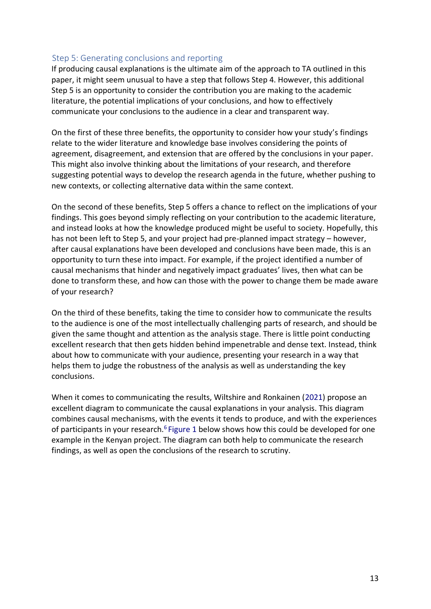#### Step 5: Generating conclusions and reporting

If producing causal explanations is the ultimate aim of the approach to TA outlined in this paper, it might seem unusual to have a step that follows Step 4. However, this additional Step 5 is an opportunity to consider the contribution you are making to the academic literature, the potential implications of your conclusions, and how to effectively communicate your conclusions to the audience in a clear and transparent way.

On the first of these three benefits, the opportunity to consider how your study's findings relate to the wider literature and knowledge base involves considering the points of agreement, disagreement, and extension that are offered by the conclusions in your paper. This might also involve thinking about the limitations of your research, and therefore suggesting potential ways to develop the research agenda in the future, whether pushing to new contexts, or collecting alternative data within the same context.

On the second of these benefits, Step 5 offers a chance to reflect on the implications of your findings. This goes beyond simply reflecting on your contribution to the academic literature, and instead looks at how the knowledge produced might be useful to society. Hopefully, this has not been left to Step 5, and your project had pre-planned impact strategy – however, after causal explanations have been developed and conclusions have been made, this is an opportunity to turn these into impact. For example, if the project identified a number of causal mechanisms that hinder and negatively impact graduates' lives, then what can be done to transform these, and how can those with the power to change them be made aware of your research?

On the third of these benefits, taking the time to consider how to communicate the results to the audience is one of the most intellectually challenging parts of research, and should be given the same thought and attention as the analysis stage. There is little point conducting excellent research that then gets hidden behind impenetrable and dense text. Instead, think about how to communicate with your audience, presenting your research in a way that helps them to judge the robustness of the analysis as well as understanding the key conclusions.

When it comes to communicating the results, Wiltshire and Ronkainen (2021) propose an excellent diagram to communicate the causal explanations in your analysis. This diagram combines causal mechanisms, with the events it tends to produce, and with the experiences of participants in your research. $6$  Figure 1 below shows how this could be developed for one example in the Kenyan project. The diagram can both help to communicate the research findings, as well as open the conclusions of the research to scrutiny.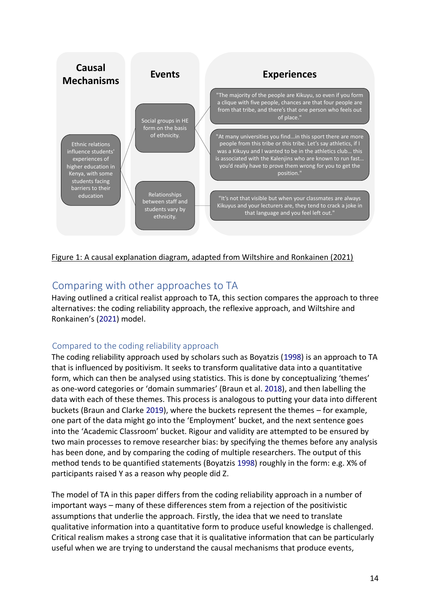

## Figure 1: A causal explanation diagram, adapted from Wiltshire and Ronkainen (2021)

# Comparing with other approaches to TA

Having outlined a critical realist approach to TA, this section compares the approach to three alternatives: the coding reliability approach, the reflexive approach, and Wiltshire and Ronkainen's (2021) model.

## Compared to the coding reliability approach

The coding reliability approach used by scholars such as Boyatzis (1998) is an approach to TA that is influenced by positivism. It seeks to transform qualitative data into a quantitative form, which can then be analysed using statistics. This is done by conceptualizing 'themes' as one-word categories or 'domain summaries' (Braun et al. 2018), and then labelling the data with each of these themes. This process is analogous to putting your data into different buckets (Braun and Clarke 2019), where the buckets represent the themes – for example, one part of the data might go into the 'Employment' bucket, and the next sentence goes into the 'Academic Classroom' bucket. Rigour and validity are attempted to be ensured by two main processes to remove researcher bias: by specifying the themes before any analysis has been done, and by comparing the coding of multiple researchers. The output of this method tends to be quantified statements (Boyatzis 1998) roughly in the form: e.g. X% of participants raised Y as a reason why people did Z.

The model of TA in this paper differs from the coding reliability approach in a number of important ways – many of these differences stem from a rejection of the positivistic assumptions that underlie the approach. Firstly, the idea that we need to translate qualitative information into a quantitative form to produce useful knowledge is challenged. Critical realism makes a strong case that it is qualitative information that can be particularly useful when we are trying to understand the causal mechanisms that produce events,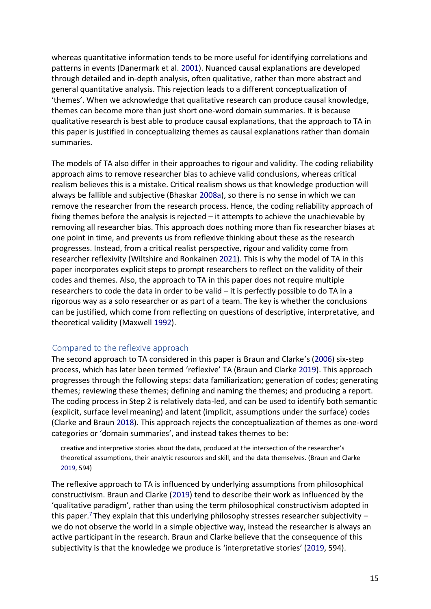whereas quantitative information tends to be more useful for identifying correlations and patterns in events (Danermark et al. 2001). Nuanced causal explanations are developed through detailed and in-depth analysis, often qualitative, rather than more abstract and general quantitative analysis. This rejection leads to a different conceptualization of 'themes'. When we acknowledge that qualitative research can produce causal knowledge, themes can become more than just short one-word domain summaries. It is because qualitative research is best able to produce causal explanations, that the approach to TA in this paper is justified in conceptualizing themes as causal explanations rather than domain summaries.

The models of TA also differ in their approaches to rigour and validity. The coding reliability approach aims to remove researcher bias to achieve valid conclusions, whereas critical realism believes this is a mistake. Critical realism shows us that knowledge production will always be fallible and subjective (Bhaskar 2008a), so there is no sense in which we can remove the researcher from the research process. Hence, the coding reliability approach of fixing themes before the analysis is rejected – it attempts to achieve the unachievable by removing all researcher bias. This approach does nothing more than fix researcher biases at one point in time, and prevents us from reflexive thinking about these as the research progresses. Instead, from a critical realist perspective, rigour and validity come from researcher reflexivity (Wiltshire and Ronkainen 2021). This is why the model of TA in this paper incorporates explicit steps to prompt researchers to reflect on the validity of their codes and themes. Also, the approach to TA in this paper does not require multiple researchers to code the data in order to be valid – it is perfectly possible to do TA in a rigorous way as a solo researcher or as part of a team. The key is whether the conclusions can be justified, which come from reflecting on questions of descriptive, interpretative, and theoretical validity (Maxwell 1992).

#### Compared to the reflexive approach

The second approach to TA considered in this paper is Braun and Clarke's (2006) six-step process, which has later been termed 'reflexive' TA (Braun and Clarke 2019). This approach progresses through the following steps: data familiarization; generation of codes; generating themes; reviewing these themes; defining and naming the themes; and producing a report. The coding process in Step 2 is relatively data-led, and can be used to identify both semantic (explicit, surface level meaning) and latent (implicit, assumptions under the surface) codes (Clarke and Braun 2018). This approach rejects the conceptualization of themes as one-word categories or 'domain summaries', and instead takes themes to be:

creative and interpretive stories about the data, produced at the intersection of the researcher's theoretical assumptions, their analytic resources and skill, and the data themselves. (Braun and Clarke 2019, 594)

The reflexive approach to TA is influenced by underlying assumptions from philosophical constructivism. Braun and Clarke (2019) tend to describe their work as influenced by the 'qualitative paradigm', rather than using the term philosophical constructivism adopted in this paper.<sup>7</sup> They explain that this underlying philosophy stresses researcher subjectivity  $$ we do not observe the world in a simple objective way, instead the researcher is always an active participant in the research. Braun and Clarke believe that the consequence of this subjectivity is that the knowledge we produce is 'interpretative stories' (2019, 594).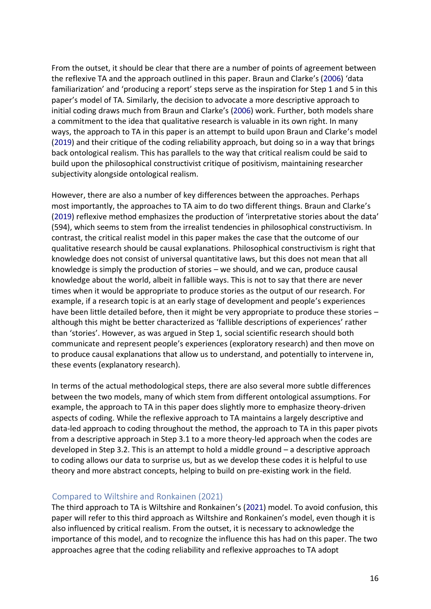From the outset, it should be clear that there are a number of points of agreement between the reflexive TA and the approach outlined in this paper. Braun and Clarke's (2006) 'data familiarization' and 'producing a report' steps serve as the inspiration for Step 1 and 5 in this paper's model of TA. Similarly, the decision to advocate a more descriptive approach to initial coding draws much from Braun and Clarke's (2006) work. Further, both models share a commitment to the idea that qualitative research is valuable in its own right. In many ways, the approach to TA in this paper is an attempt to build upon Braun and Clarke's model (2019) and their critique of the coding reliability approach, but doing so in a way that brings back ontological realism. This has parallels to the way that critical realism could be said to build upon the philosophical constructivist critique of positivism, maintaining researcher subjectivity alongside ontological realism.

However, there are also a number of key differences between the approaches. Perhaps most importantly, the approaches to TA aim to do two different things. Braun and Clarke's (2019) reflexive method emphasizes the production of 'interpretative stories about the data' (594), which seems to stem from the irrealist tendencies in philosophical constructivism. In contrast, the critical realist model in this paper makes the case that the outcome of our qualitative research should be causal explanations. Philosophical constructivism is right that knowledge does not consist of universal quantitative laws, but this does not mean that all knowledge is simply the production of stories – we should, and we can, produce causal knowledge about the world, albeit in fallible ways. This is not to say that there are never times when it would be appropriate to produce stories as the output of our research. For example, if a research topic is at an early stage of development and people's experiences have been little detailed before, then it might be very appropriate to produce these stories although this might be better characterized as 'fallible descriptions of experiences' rather than 'stories'. However, as was argued in Step 1, social scientific research should both communicate and represent people's experiences (exploratory research) and then move on to produce causal explanations that allow us to understand, and potentially to intervene in, these events (explanatory research).

In terms of the actual methodological steps, there are also several more subtle differences between the two models, many of which stem from different ontological assumptions. For example, the approach to TA in this paper does slightly more to emphasize theory-driven aspects of coding. While the reflexive approach to TA maintains a largely descriptive and data-led approach to coding throughout the method, the approach to TA in this paper pivots from a descriptive approach in Step 3.1 to a more theory-led approach when the codes are developed in Step 3.2. This is an attempt to hold a middle ground – a descriptive approach to coding allows our data to surprise us, but as we develop these codes it is helpful to use theory and more abstract concepts, helping to build on pre-existing work in the field.

#### Compared to Wiltshire and Ronkainen (2021)

The third approach to TA is Wiltshire and Ronkainen's (2021) model. To avoid confusion, this paper will refer to this third approach as Wiltshire and Ronkainen's model, even though it is also influenced by critical realism. From the outset, it is necessary to acknowledge the importance of this model, and to recognize the influence this has had on this paper. The two approaches agree that the coding reliability and reflexive approaches to TA adopt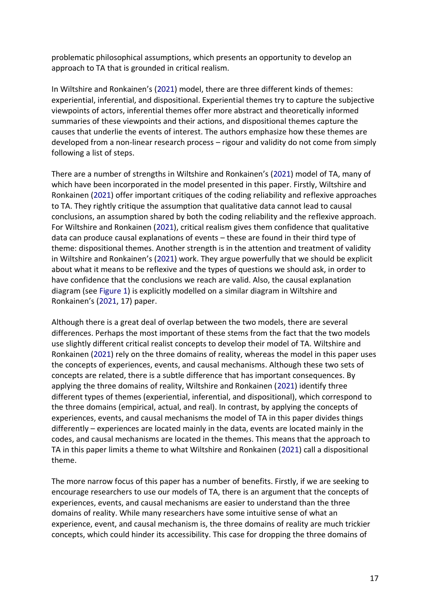problematic philosophical assumptions, which presents an opportunity to develop an approach to TA that is grounded in critical realism.

In Wiltshire and Ronkainen's (2021) model, there are three different kinds of themes: experiential, inferential, and dispositional. Experiential themes try to capture the subjective viewpoints of actors, inferential themes offer more abstract and theoretically informed summaries of these viewpoints and their actions, and dispositional themes capture the causes that underlie the events of interest. The authors emphasize how these themes are developed from a non-linear research process – rigour and validity do not come from simply following a list of steps.

There are a number of strengths in Wiltshire and Ronkainen's (2021) model of TA, many of which have been incorporated in the model presented in this paper. Firstly, Wiltshire and Ronkainen (2021) offer important critiques of the coding reliability and reflexive approaches to TA. They rightly critique the assumption that qualitative data cannot lead to causal conclusions, an assumption shared by both the coding reliability and the reflexive approach. For Wiltshire and Ronkainen (2021), critical realism gives them confidence that qualitative data can produce causal explanations of events – these are found in their third type of theme: dispositional themes. Another strength is in the attention and treatment of validity in Wiltshire and Ronkainen's (2021) work. They argue powerfully that we should be explicit about what it means to be reflexive and the types of questions we should ask, in order to have confidence that the conclusions we reach are valid. Also, the causal explanation diagram (see Figure 1) is explicitly modelled on a similar diagram in Wiltshire and Ronkainen's (2021, 17) paper.

Although there is a great deal of overlap between the two models, there are several differences. Perhaps the most important of these stems from the fact that the two models use slightly different critical realist concepts to develop their model of TA. Wiltshire and Ronkainen (2021) rely on the three domains of reality, whereas the model in this paper uses the concepts of experiences, events, and causal mechanisms. Although these two sets of concepts are related, there is a subtle difference that has important consequences. By applying the three domains of reality, Wiltshire and Ronkainen (2021) identify three different types of themes (experiential, inferential, and dispositional), which correspond to the three domains (empirical, actual, and real). In contrast, by applying the concepts of experiences, events, and causal mechanisms the model of TA in this paper divides things differently – experiences are located mainly in the data, events are located mainly in the codes, and causal mechanisms are located in the themes. This means that the approach to TA in this paper limits a theme to what Wiltshire and Ronkainen (2021) call a dispositional theme.

The more narrow focus of this paper has a number of benefits. Firstly, if we are seeking to encourage researchers to use our models of TA, there is an argument that the concepts of experiences, events, and causal mechanisms are easier to understand than the three domains of reality. While many researchers have some intuitive sense of what an experience, event, and causal mechanism is, the three domains of reality are much trickier concepts, which could hinder its accessibility. This case for dropping the three domains of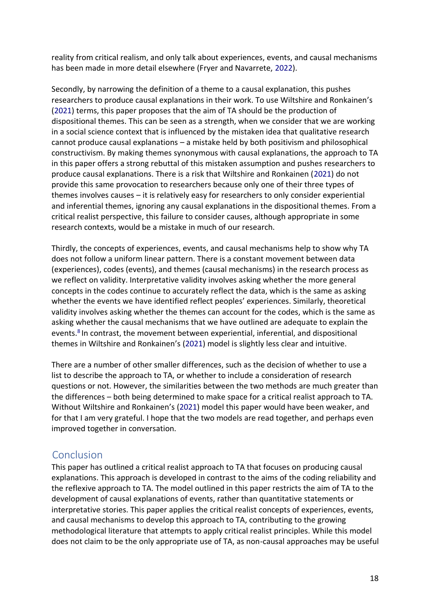reality from critical realism, and only talk about experiences, events, and causal mechanisms has been made in more detail elsewhere (Fryer and Navarrete, 2022).

Secondly, by narrowing the definition of a theme to a causal explanation, this pushes researchers to produce causal explanations in their work. To use Wiltshire and Ronkainen's (2021) terms, this paper proposes that the aim of TA should be the production of dispositional themes. This can be seen as a strength, when we consider that we are working in a social science context that is influenced by the mistaken idea that qualitative research cannot produce causal explanations – a mistake held by both positivism and philosophical constructivism. By making themes synonymous with causal explanations, the approach to TA in this paper offers a strong rebuttal of this mistaken assumption and pushes researchers to produce causal explanations. There is a risk that Wiltshire and Ronkainen (2021) do not provide this same provocation to researchers because only one of their three types of themes involves causes – it is relatively easy for researchers to only consider experiential and inferential themes, ignoring any causal explanations in the dispositional themes. From a critical realist perspective, this failure to consider causes, although appropriate in some research contexts, would be a mistake in much of our research.

Thirdly, the concepts of experiences, events, and causal mechanisms help to show why TA does not follow a uniform linear pattern. There is a constant movement between data (experiences), codes (events), and themes (causal mechanisms) in the research process as we reflect on validity. Interpretative validity involves asking whether the more general concepts in the codes continue to accurately reflect the data, which is the same as asking whether the events we have identified reflect peoples' experiences. Similarly, theoretical validity involves asking whether the themes can account for the codes, which is the same as asking whether the causal mechanisms that we have outlined are adequate to explain the events. $8$  In contrast, the movement between experiential, inferential, and dispositional themes in Wiltshire and Ronkainen's (2021) model is slightly less clear and intuitive.

There are a number of other smaller differences, such as the decision of whether to use a list to describe the approach to TA, or whether to include a consideration of research questions or not. However, the similarities between the two methods are much greater than the differences – both being determined to make space for a critical realist approach to TA. Without Wiltshire and Ronkainen's (2021) model this paper would have been weaker, and for that I am very grateful. I hope that the two models are read together, and perhaps even improved together in conversation.

# Conclusion

This paper has outlined a critical realist approach to TA that focuses on producing causal explanations. This approach is developed in contrast to the aims of the coding reliability and the reflexive approach to TA. The model outlined in this paper restricts the aim of TA to the development of causal explanations of events, rather than quantitative statements or interpretative stories. This paper applies the critical realist concepts of experiences, events, and causal mechanisms to develop this approach to TA, contributing to the growing methodological literature that attempts to apply critical realist principles. While this model does not claim to be the only appropriate use of TA, as non-causal approaches may be useful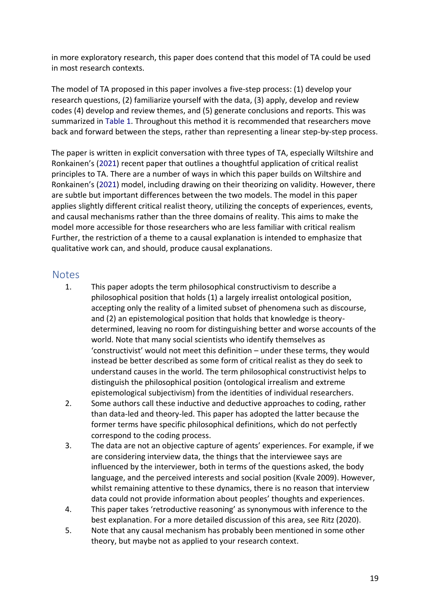in more exploratory research, this paper does contend that this model of TA could be used in most research contexts.

The model of TA proposed in this paper involves a five-step process: (1) develop your research questions, (2) familiarize yourself with the data, (3) apply, develop and review codes (4) develop and review themes, and (5) generate conclusions and reports. This was summarized in Table 1. Throughout this method it is recommended that researchers move back and forward between the steps, rather than representing a linear step-by-step process.

The paper is written in explicit conversation with three types of TA, especially Wiltshire and Ronkainen's (2021) recent paper that outlines a thoughtful application of critical realist principles to TA. There are a number of ways in which this paper builds on Wiltshire and Ronkainen's (2021) model, including drawing on their theorizing on validity. However, there are subtle but important differences between the two models. The model in this paper applies slightly different critical realist theory, utilizing the concepts of experiences, events, and causal mechanisms rather than the three domains of reality. This aims to make the model more accessible for those researchers who are less familiar with critical realism Further, the restriction of a theme to a causal explanation is intended to emphasize that qualitative work can, and should, produce causal explanations.

## **Notes**

- 1. This paper adopts the term philosophical constructivism to describe a philosophical position that holds (1) a largely irrealist ontological position, accepting only the reality of a limited subset of phenomena such as discourse, and (2) an epistemological position that holds that knowledge is theorydetermined, leaving no room for distinguishing better and worse accounts of the world. Note that many social scientists who identify themselves as 'constructivist' would not meet this definition – under these terms, they would instead be better described as some form of critical realist as they do seek to understand causes in the world. The term philosophical constructivist helps to distinguish the philosophical position (ontological irrealism and extreme epistemological subjectivism) from the identities of individual researchers.
- 2. Some authors call these inductive and deductive approaches to coding, rather than data-led and theory-led. This paper has adopted the latter because the former terms have specific philosophical definitions, which do not perfectly correspond to the coding process.
- 3. The data are not an objective capture of agents' experiences. For example, if we are considering interview data, the things that the interviewee says are influenced by the interviewer, both in terms of the questions asked, the body language, and the perceived interests and social position (Kvale 2009). However, whilst remaining attentive to these dynamics, there is no reason that interview data could not provide information about peoples' thoughts and experiences.
- 4. This paper takes 'retroductive reasoning' as synonymous with inference to the best explanation. For a more detailed discussion of this area, see Ritz (2020).
- 5. Note that any causal mechanism has probably been mentioned in some other theory, but maybe not as applied to your research context.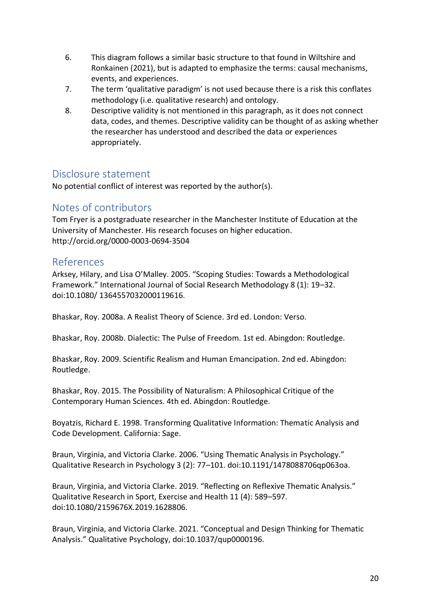- 6. This diagram follows a similar basic structure to that found in Wiltshire and Ronkainen (2021), but is adapted to emphasize the terms: causal mechanisms, events, and experiences.
- 7. The term 'qualitative paradigm' is not used because there is a risk this conflates methodology (i.e. qualitative research) and ontology.
- 8. Descriptive validity is not mentioned in this paragraph, as it does not connect data, codes, and themes. Descriptive validity can be thought of as asking whether the researcher has understood and described the data or experiences appropriately.

# Disclosure statement

No potential conflict of interest was reported by the author(s).

# Notes of contributors

Tom Fryer is a postgraduate researcher in the Manchester Institute of Education at the University of Manchester. His research focuses on higher education. http://orcid.org/0000-0003-0694-3504

## References

Arksey, Hilary, and Lisa O'Malley. 2005. "Scoping Studies: Towards a Methodological Framework." International Journal of Social Research Methodology 8 (1): 19–32. doi:10.1080/ 1364557032000119616.

Bhaskar, Roy. 2008a. A Realist Theory of Science. 3rd ed. London: Verso.

Bhaskar, Roy. 2008b. Dialectic: The Pulse of Freedom. 1st ed. Abingdon: Routledge.

Bhaskar, Roy. 2009. Scientific Realism and Human Emancipation. 2nd ed. Abingdon: Routledge.

Bhaskar, Roy. 2015. The Possibility of Naturalism: A Philosophical Critique of the Contemporary Human Sciences. 4th ed. Abingdon: Routledge.

Boyatzis, Richard E. 1998. Transforming Qualitative Information: Thematic Analysis and Code Development. California: Sage.

Braun, Virginia, and Victoria Clarke. 2006. "Using Thematic Analysis in Psychology." Qualitative Research in Psychology 3 (2): 77–101. doi:10.1191/1478088706qp063oa.

Braun, Virginia, and Victoria Clarke. 2019. "Reflecting on Reflexive Thematic Analysis." Qualitative Research in Sport, Exercise and Health 11 (4): 589–597. doi:10.1080/2159676X.2019.1628806.

Braun, Virginia, and Victoria Clarke. 2021. "Conceptual and Design Thinking for Thematic Analysis." Qualitative Psychology, doi:10.1037/qup0000196.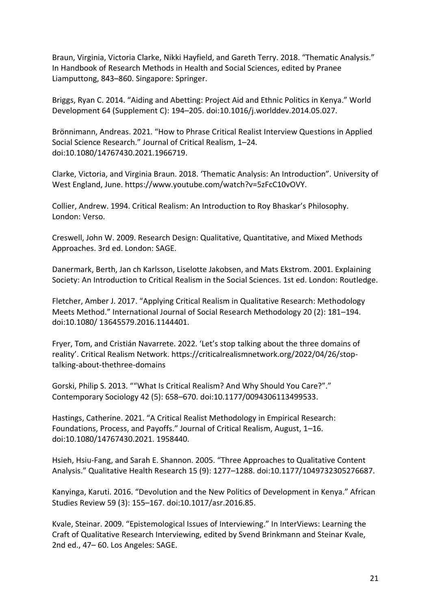Braun, Virginia, Victoria Clarke, Nikki Hayfield, and Gareth Terry. 2018. "Thematic Analysis." In Handbook of Research Methods in Health and Social Sciences, edited by Pranee Liamputtong, 843–860. Singapore: Springer.

Briggs, Ryan C. 2014. "Aiding and Abetting: Project Aid and Ethnic Politics in Kenya." World Development 64 (Supplement C): 194–205. doi:10.1016/j.worlddev.2014.05.027.

Brönnimann, Andreas. 2021. "How to Phrase Critical Realist Interview Questions in Applied Social Science Research." Journal of Critical Realism, 1–24. doi:10.1080/14767430.2021.1966719.

Clarke, Victoria, and Virginia Braun. 2018. 'Thematic Analysis: An Introduction". University of West England, June. https://www.youtube.com/watch?v=5zFcC10vOVY.

Collier, Andrew. 1994. Critical Realism: An Introduction to Roy Bhaskar's Philosophy. London: Verso.

Creswell, John W. 2009. Research Design: Qualitative, Quantitative, and Mixed Methods Approaches. 3rd ed. London: SAGE.

Danermark, Berth, Jan ch Karlsson, Liselotte Jakobsen, and Mats Ekstrom. 2001. Explaining Society: An Introduction to Critical Realism in the Social Sciences. 1st ed. London: Routledge.

Fletcher, Amber J. 2017. "Applying Critical Realism in Qualitative Research: Methodology Meets Method." International Journal of Social Research Methodology 20 (2): 181–194. doi:10.1080/ 13645579.2016.1144401.

Fryer, Tom, and Cristián Navarrete. 2022. 'Let's stop talking about the three domains of reality'. Critical Realism Network. https://criticalrealismnetwork.org/2022/04/26/stoptalking-about-thethree-domains

Gorski, Philip S. 2013. ""What Is Critical Realism? And Why Should You Care?"." Contemporary Sociology 42 (5): 658–670. doi:10.1177/0094306113499533.

Hastings, Catherine. 2021. "A Critical Realist Methodology in Empirical Research: Foundations, Process, and Payoffs." Journal of Critical Realism, August, 1–16. doi:10.1080/14767430.2021. 1958440.

Hsieh, Hsiu-Fang, and Sarah E. Shannon. 2005. "Three Approaches to Qualitative Content Analysis." Qualitative Health Research 15 (9): 1277–1288. doi:10.1177/1049732305276687.

Kanyinga, Karuti. 2016. "Devolution and the New Politics of Development in Kenya." African Studies Review 59 (3): 155–167. doi:10.1017/asr.2016.85.

Kvale, Steinar. 2009. "Epistemological Issues of Interviewing." In InterViews: Learning the Craft of Qualitative Research Interviewing, edited by Svend Brinkmann and Steinar Kvale, 2nd ed., 47– 60. Los Angeles: SAGE.